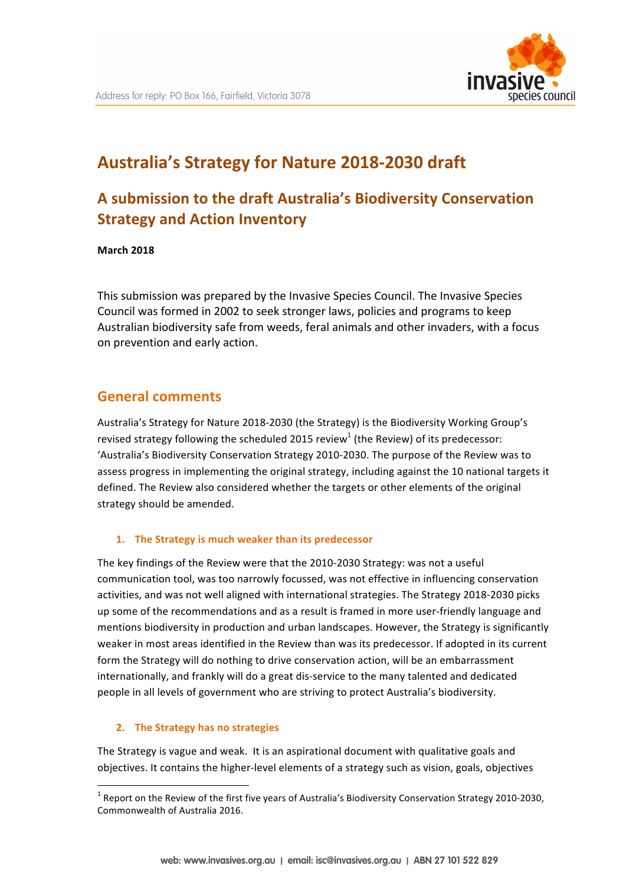

# Australia's Strategy for Nature 2018-2030 draft

## A submission to the draft Australia's Biodiversity Conservation **Strategy and Action Inventory**

**March 2018**

This submission was prepared by the Invasive Species Council. The Invasive Species Council was formed in 2002 to seek stronger laws, policies and programs to keep Australian biodiversity safe from weeds, feral animals and other invaders, with a focus on prevention and early action.

### **General comments**

Australia's Strategy for Nature 2018-2030 (the Strategy) is the Biodiversity Working Group's revised strategy following the scheduled 2015 review<sup>1</sup> (the Review) of its predecessor: 'Australia's Biodiversity Conservation Strategy 2010-2030. The purpose of the Review was to assess progress in implementing the original strategy, including against the 10 national targets it defined. The Review also considered whether the targets or other elements of the original strategy should be amended.

#### 1. The Strategy is much weaker than its predecessor

The key findings of the Review were that the 2010-2030 Strategy: was not a useful communication tool, was too narrowly focussed, was not effective in influencing conservation activities, and was not well aligned with international strategies. The Strategy 2018-2030 picks up some of the recommendations and as a result is framed in more user-friendly language and mentions biodiversity in production and urban landscapes. However, the Strategy is significantly weaker in most areas identified in the Review than was its predecessor. If adopted in its current form the Strategy will do nothing to drive conservation action, will be an embarrassment internationally, and frankly will do a great dis-service to the many talented and dedicated people in all levels of government who are striving to protect Australia's biodiversity.

#### **2.** The Strategy has no strategies

<u> Andrew Maria (1989)</u>

The Strategy is vague and weak. It is an aspirational document with qualitative goals and objectives. It contains the higher-level elements of a strategy such as vision, goals, objectives

 $1$  Report on the Review of the first five years of Australia's Biodiversity Conservation Strategy 2010-2030, Commonwealth of Australia 2016.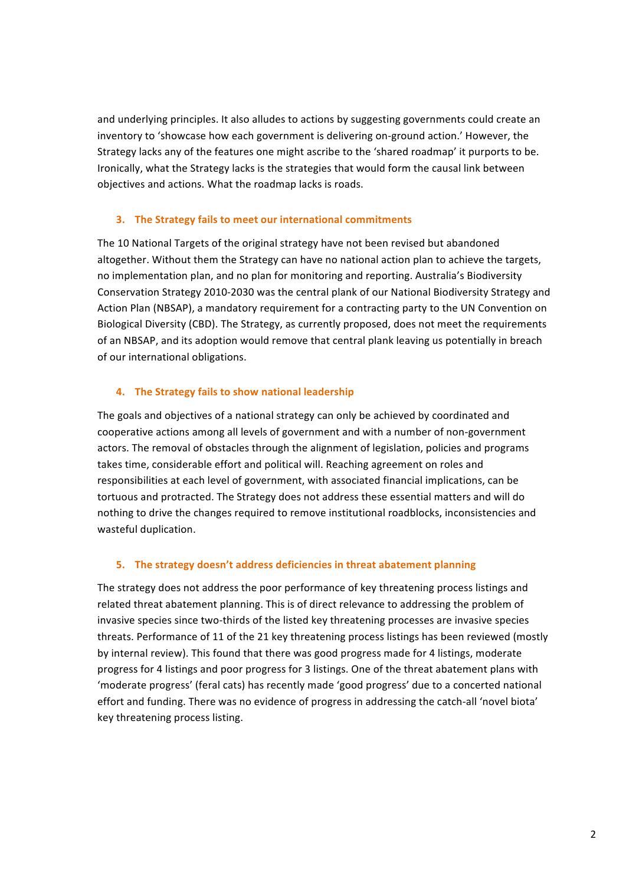and underlying principles. It also alludes to actions by suggesting governments could create an inventory to 'showcase how each government is delivering on-ground action.' However, the Strategy lacks any of the features one might ascribe to the 'shared roadmap' it purports to be. Ironically, what the Strategy lacks is the strategies that would form the causal link between objectives and actions. What the roadmap lacks is roads.

#### **3.** The Strategy fails to meet our international commitments

The 10 National Targets of the original strategy have not been revised but abandoned altogether. Without them the Strategy can have no national action plan to achieve the targets, no implementation plan, and no plan for monitoring and reporting. Australia's Biodiversity Conservation Strategy 2010-2030 was the central plank of our National Biodiversity Strategy and Action Plan (NBSAP), a mandatory requirement for a contracting party to the UN Convention on Biological Diversity (CBD). The Strategy, as currently proposed, does not meet the requirements of an NBSAP, and its adoption would remove that central plank leaving us potentially in breach of our international obligations.

#### **4.** The Strategy fails to show national leadership

The goals and objectives of a national strategy can only be achieved by coordinated and cooperative actions among all levels of government and with a number of non-government actors. The removal of obstacles through the alignment of legislation, policies and programs takes time, considerable effort and political will. Reaching agreement on roles and responsibilities at each level of government, with associated financial implications, can be tortuous and protracted. The Strategy does not address these essential matters and will do nothing to drive the changes required to remove institutional roadblocks, inconsistencies and wasteful duplication.

#### **5.** The strategy doesn't address deficiencies in threat abatement planning

The strategy does not address the poor performance of key threatening process listings and related threat abatement planning. This is of direct relevance to addressing the problem of invasive species since two-thirds of the listed key threatening processes are invasive species threats. Performance of 11 of the 21 key threatening process listings has been reviewed (mostly by internal review). This found that there was good progress made for 4 listings, moderate progress for 4 listings and poor progress for 3 listings. One of the threat abatement plans with 'moderate progress' (feral cats) has recently made 'good progress' due to a concerted national effort and funding. There was no evidence of progress in addressing the catch-all 'novel biota' key threatening process listing.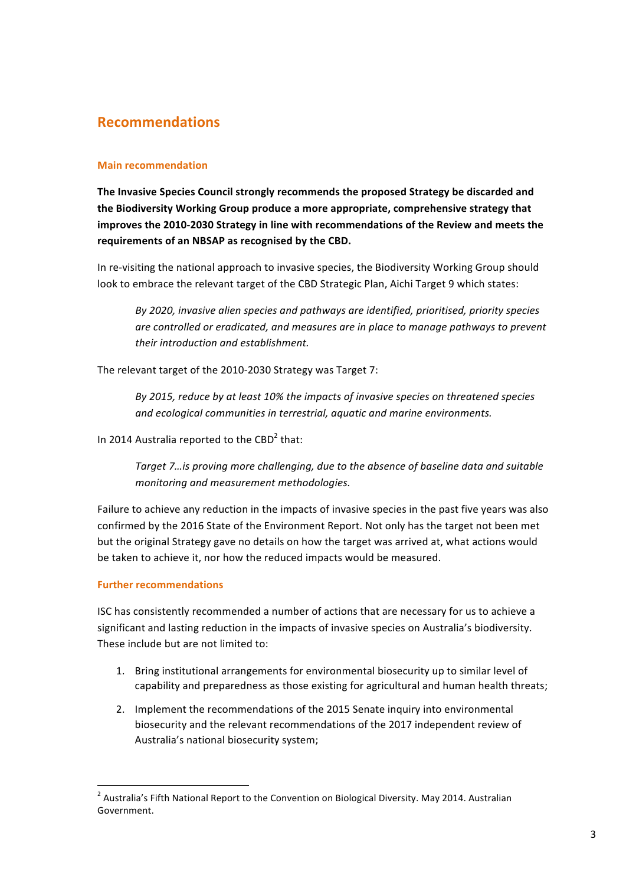## **Recommendations**

#### **Main recommendation**

The Invasive Species Council strongly recommends the proposed Strategy be discarded and the Biodiversity Working Group produce a more appropriate, comprehensive strategy that improves the 2010-2030 Strategy in line with recommendations of the Review and meets the requirements of an NBSAP as recognised by the CBD.

In re-visiting the national approach to invasive species, the Biodiversity Working Group should look to embrace the relevant target of the CBD Strategic Plan, Aichi Target 9 which states:

By 2020, invasive alien species and pathways are identified, prioritised, priority species are controlled or eradicated, and measures are in place to manage pathways to prevent *their introduction and establishment.*

The relevant target of the 2010-2030 Strategy was Target 7:

By 2015, reduce by at least 10% the impacts of invasive species on threatened species and ecological communities in terrestrial, aquatic and marine environments.

In 2014 Australia reported to the  $CBD<sup>2</sup>$  that:

Target 7…is proving more challenging, due to the absence of baseline data and suitable *monitoring and measurement methodologies.*

Failure to achieve any reduction in the impacts of invasive species in the past five years was also confirmed by the 2016 State of the Environment Report. Not only has the target not been met but the original Strategy gave no details on how the target was arrived at, what actions would be taken to achieve it, nor how the reduced impacts would be measured.

#### **Further recommendations**

<u> Andrew Maria (1989)</u>

ISC has consistently recommended a number of actions that are necessary for us to achieve a significant and lasting reduction in the impacts of invasive species on Australia's biodiversity. These include but are not limited to:

- 1. Bring institutional arrangements for environmental biosecurity up to similar level of capability and preparedness as those existing for agricultural and human health threats;
- 2. Implement the recommendations of the 2015 Senate inquiry into environmental biosecurity and the relevant recommendations of the 2017 independent review of Australia's national biosecurity system;

 $^{2}$  Australia's Fifth National Report to the Convention on Biological Diversity. May 2014. Australian Government.